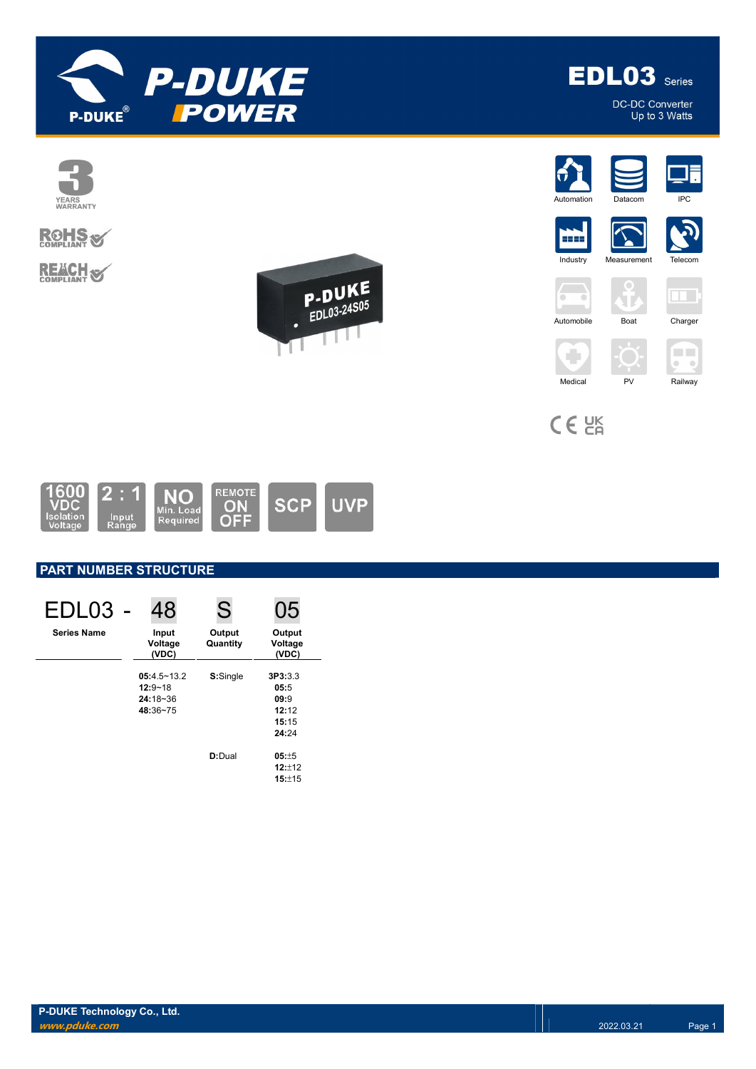



DC-DC Converter Up to 3 Watts



 $C \in \mathcal{C}^{\text{K}}_{\text{A}}$ 



# PART NUMBER STRUCTURE

| EDL03              | 48                                                         | S                  | 05                                                 |
|--------------------|------------------------------------------------------------|--------------------|----------------------------------------------------|
| <b>Series Name</b> | Input<br>Voltage<br>(VDC)                                  | Output<br>Quantity | Output<br>Voltage<br>(VDC)                         |
|                    | $05:4.5 - 13.2$<br>$12:9 - 18$<br>$24:18 - 36$<br>48:36~75 | S:Single           | 3P3:3.3<br>05:5<br>09:9<br>12:12<br>15:15<br>24:24 |
|                    |                                                            | D:Dual             | $05: +5$<br>$12:+12$<br>$15: +15$                  |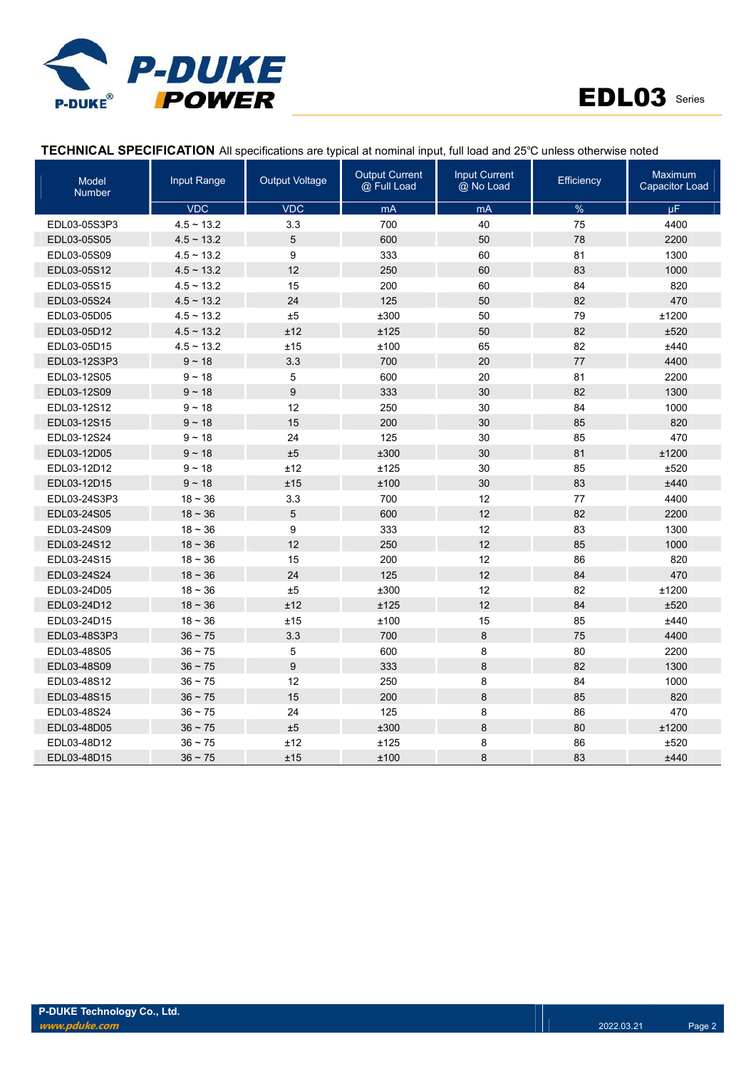



# TECHNICAL SPECIFICATION All specifications are typical at nominal input, full load and 25℃ unless otherwise noted

| Model<br><b>Number</b> | Input Range     | <b>Output Voltage</b> | <b>Output Current</b><br>@ Full Load | <b>Input Current</b><br>@ No Load | Efficiency | Maximum<br><b>Capacitor Load</b> |
|------------------------|-----------------|-----------------------|--------------------------------------|-----------------------------------|------------|----------------------------------|
|                        | <b>VDC</b>      | <b>VDC</b>            | mA                                   | mA                                | %          | μF.                              |
| EDL03-05S3P3           | $4.5 \sim 13.2$ | 3.3                   | 700                                  | 40                                | 75         | 4400                             |
| EDL03-05S05            | $4.5 \sim 13.2$ | 5                     | 600                                  | 50                                | 78         | 2200                             |
| EDL03-05S09            | $4.5 \sim 13.2$ | 9                     | 333                                  | 60                                | 81         | 1300                             |
| EDL03-05S12            | $4.5 \sim 13.2$ | 12                    | 250                                  | 60                                | 83         | 1000                             |
| EDL03-05S15            | $4.5 \sim 13.2$ | 15                    | 200                                  | 60                                | 84         | 820                              |
| EDL03-05S24            | $4.5 \sim 13.2$ | 24                    | 125                                  | 50                                | 82         | 470                              |
| EDL03-05D05            | $4.5 \sim 13.2$ | $\pm 5$               | ±300                                 | 50                                | 79         | ±1200                            |
| EDL03-05D12            | $4.5 \sim 13.2$ | ±12                   | ±125                                 | 50                                | 82         | ±520                             |
| EDL03-05D15            | $4.5 \sim 13.2$ | ±15                   | ±100                                 | 65                                | 82         | ±440                             |
| EDL03-12S3P3           | $9 - 18$        | 3.3                   | 700                                  | 20                                | 77         | 4400                             |
| EDL03-12S05            | $9 - 18$        | 5                     | 600                                  | 20                                | 81         | 2200                             |
| EDL03-12S09            | $9 - 18$        | 9                     | 333                                  | 30                                | 82         | 1300                             |
| EDL03-12S12            | $9 - 18$        | 12                    | 250                                  | 30                                | 84         | 1000                             |
| EDL03-12S15            | $9 - 18$        | 15                    | 200                                  | 30                                | 85         | 820                              |
| EDL03-12S24            | $9 - 18$        | 24                    | 125                                  | 30                                | 85         | 470                              |
| EDL03-12D05            | $9 - 18$        | $\pm 5$               | ±300                                 | 30                                | 81         | ±1200                            |
| EDL03-12D12            | $9 - 18$        | ±12                   | ±125                                 | 30                                | 85         | ±520                             |
| EDL03-12D15            | $9 - 18$        | ±15                   | ±100                                 | 30                                | 83         | ±440                             |
| EDL03-24S3P3           | $18 - 36$       | 3.3                   | 700                                  | 12                                | 77         | 4400                             |
| EDL03-24S05            | $18 - 36$       | 5                     | 600                                  | 12                                | 82         | 2200                             |
| EDL03-24S09            | $18 - 36$       | 9                     | 333                                  | 12                                | 83         | 1300                             |
| EDL03-24S12            | $18 - 36$       | 12                    | 250                                  | 12                                | 85         | 1000                             |
| EDL03-24S15            | $18 - 36$       | 15                    | 200                                  | 12                                | 86         | 820                              |
| EDL03-24S24            | $18 - 36$       | 24                    | 125                                  | 12                                | 84         | 470                              |
| EDL03-24D05            | $18 - 36$       | ±5                    | ±300                                 | 12                                | 82         | ±1200                            |
| EDL03-24D12            | $18 - 36$       | ±12                   | ±125                                 | 12                                | 84         | ±520                             |
| EDL03-24D15            | $18 - 36$       | ±15                   | ±100                                 | 15                                | 85         | ±440                             |
| EDL03-48S3P3           | $36 - 75$       | 3.3                   | 700                                  | 8                                 | 75         | 4400                             |
| EDL03-48S05            | $36 - 75$       | 5                     | 600                                  | 8                                 | 80         | 2200                             |
| EDL03-48S09            | $36 - 75$       | 9                     | 333                                  | 8                                 | 82         | 1300                             |
| EDL03-48S12            | $36 - 75$       | 12                    | 250                                  | 8                                 | 84         | 1000                             |
| EDL03-48S15            | $36 - 75$       | 15                    | 200                                  | $\bf 8$                           | 85         | 820                              |
| EDL03-48S24            | $36 - 75$       | 24                    | 125                                  | 8                                 | 86         | 470                              |
| EDL03-48D05            | $36 - 75$       | ±5                    | ±300                                 | 8                                 | 80         | ±1200                            |
| EDL03-48D12            | $36 - 75$       | ±12                   | ±125                                 | 8                                 | 86         | ±520                             |
| EDL03-48D15            | $36 - 75$       | ±15                   | ±100                                 | 8                                 | 83         | ±440                             |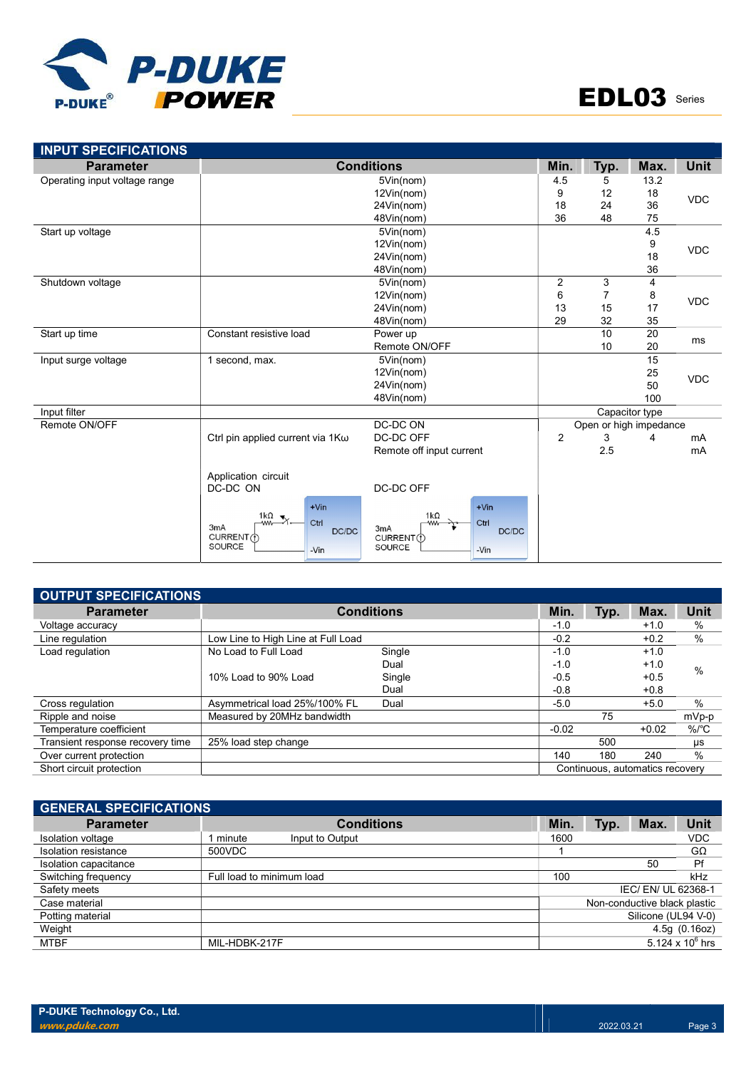

| <b>Parameter</b>              |                                                                                               | <b>Conditions</b>                                                                          | Min.           | Typ.                   | Max.           | <b>Unit</b> |
|-------------------------------|-----------------------------------------------------------------------------------------------|--------------------------------------------------------------------------------------------|----------------|------------------------|----------------|-------------|
| Operating input voltage range |                                                                                               | 5Vin(nom)                                                                                  |                |                        | 13.2           |             |
|                               |                                                                                               | 12Vin(nom)                                                                                 | 9              | 12                     | 18<br>36       | <b>VDC</b>  |
|                               |                                                                                               | 24Vin(nom)                                                                                 |                |                        |                |             |
|                               |                                                                                               | 48Vin(nom)                                                                                 | 36             | 48                     | 75             |             |
| Start up voltage              |                                                                                               | 5Vin(nom)                                                                                  |                |                        | 4.5            |             |
|                               |                                                                                               | 12Vin(nom)                                                                                 |                |                        | 9              | <b>VDC</b>  |
|                               |                                                                                               | 24Vin(nom)                                                                                 |                |                        | 18             |             |
|                               |                                                                                               | 48Vin(nom)                                                                                 |                |                        | 36             |             |
| Shutdown voltage              |                                                                                               | 5Vin(nom)                                                                                  | 2              | 3                      | 4              |             |
|                               |                                                                                               | 12Vin(nom)                                                                                 | 6              | $\overline{7}$         | 8              | <b>VDC</b>  |
|                               |                                                                                               | 24Vin(nom)                                                                                 | 13             | 15                     | 17             |             |
|                               |                                                                                               | 48Vin(nom)                                                                                 | 29             | 32                     | 35             |             |
| Start up time                 | Constant resistive load                                                                       | Power up                                                                                   |                | 10                     | 20             | ms          |
|                               |                                                                                               | Remote ON/OFF                                                                              |                |                        | 20             |             |
| Input surge voltage           | 1 second, max.                                                                                | 5Vin(nom)                                                                                  |                |                        | 15             |             |
|                               |                                                                                               | 12Vin(nom)                                                                                 |                |                        | 25             | <b>VDC</b>  |
|                               |                                                                                               | 24Vin(nom)                                                                                 |                |                        | 50             |             |
|                               |                                                                                               | 48Vin(nom)                                                                                 |                |                        | 100            |             |
| Input filter                  |                                                                                               |                                                                                            |                |                        | Capacitor type |             |
| Remote ON/OFF                 |                                                                                               | DC-DC ON                                                                                   |                | Open or high impedance |                |             |
|                               | Ctrl pin applied current via 1 Κω                                                             | DC-DC OFF                                                                                  | $\overline{2}$ | 3                      | 4              | mA          |
|                               |                                                                                               | Remote off input current                                                                   |                | 2.5                    |                | mA          |
|                               | Application circuit                                                                           |                                                                                            |                |                        |                |             |
|                               | DC-DC ON                                                                                      | DC-DC OFF                                                                                  |                |                        |                |             |
|                               | $+V$ in<br>1 $k\Omega$<br>Ctrl<br><b>WW-</b><br>3mA<br>DC/DC<br>CURRENT (1)<br>SOURCE<br>-Vin | $+V$ in<br>$1k\Omega$<br>Ctrl<br><b>WW</b><br>3mA<br>DC/DC<br>CURRENT(1)<br>SOURCE<br>-Vin |                |                        |                |             |

| OUTPUT SPECIFICATIONS            |                                    |                   |         |      |                                 |                      |
|----------------------------------|------------------------------------|-------------------|---------|------|---------------------------------|----------------------|
| <b>Parameter</b>                 |                                    | <b>Conditions</b> | Min.    | Typ. | Max.                            | <b>Unit</b>          |
| Voltage accuracy                 |                                    |                   | $-1.0$  |      | $+1.0$                          | %                    |
| Line regulation                  | Low Line to High Line at Full Load |                   | $-0.2$  |      | $+0.2$                          | %                    |
| Load regulation                  | No Load to Full Load               | Single            | $-1.0$  |      | $+1.0$                          |                      |
|                                  |                                    | Dual              | $-1.0$  |      | $+1.0$                          | $\%$                 |
|                                  | 10% Load to 90% Load               | Single            | $-0.5$  |      | $+0.5$                          |                      |
|                                  |                                    | Dual              | $-0.8$  |      | $+0.8$                          |                      |
| Cross regulation                 | Asymmetrical load 25%/100% FL      | Dual              | $-5.0$  |      | $+5.0$                          | $\%$                 |
| Ripple and noise                 | Measured by 20MHz bandwidth        |                   |         | 75   |                                 | mVp-p                |
| Temperature coefficient          |                                    |                   | $-0.02$ |      | $+0.02$                         | $%$ / ${}^{\circ}$ C |
| Transient response recovery time | 25% load step change               |                   |         | 500  |                                 | μs                   |
| Over current protection          |                                    |                   | 140     | 180  | 240                             | %                    |
| Short circuit protection         |                                    |                   |         |      | Continuous, automatics recovery |                      |

| <b>GENERAL SPECIFICATIONS</b> |                             |      |      |                              |                    |
|-------------------------------|-----------------------------|------|------|------------------------------|--------------------|
| <b>Parameter</b>              | <b>Conditions</b>           | Min. | Typ. | Max.                         | Unit               |
| Isolation voltage             | , minute<br>Input to Output | 1600 |      |                              | <b>VDC</b>         |
| Isolation resistance          | 500VDC                      |      |      |                              | GΩ                 |
| Isolation capacitance         |                             |      |      | 50                           | Pf                 |
| Switching frequency           | Full load to minimum load   | 100  |      |                              | kHz                |
| Safety meets                  |                             |      |      | IEC/EN/UL 62368-1            |                    |
| Case material                 |                             |      |      | Non-conductive black plastic |                    |
| Potting material              |                             |      |      | Silicone (UL94 V-0)          |                    |
| Weight                        |                             |      |      |                              | 4.5g(0.16oz)       |
| <b>MTBF</b>                   | MIL-HDBK-217F               |      |      |                              | 5.124 x $10^6$ hrs |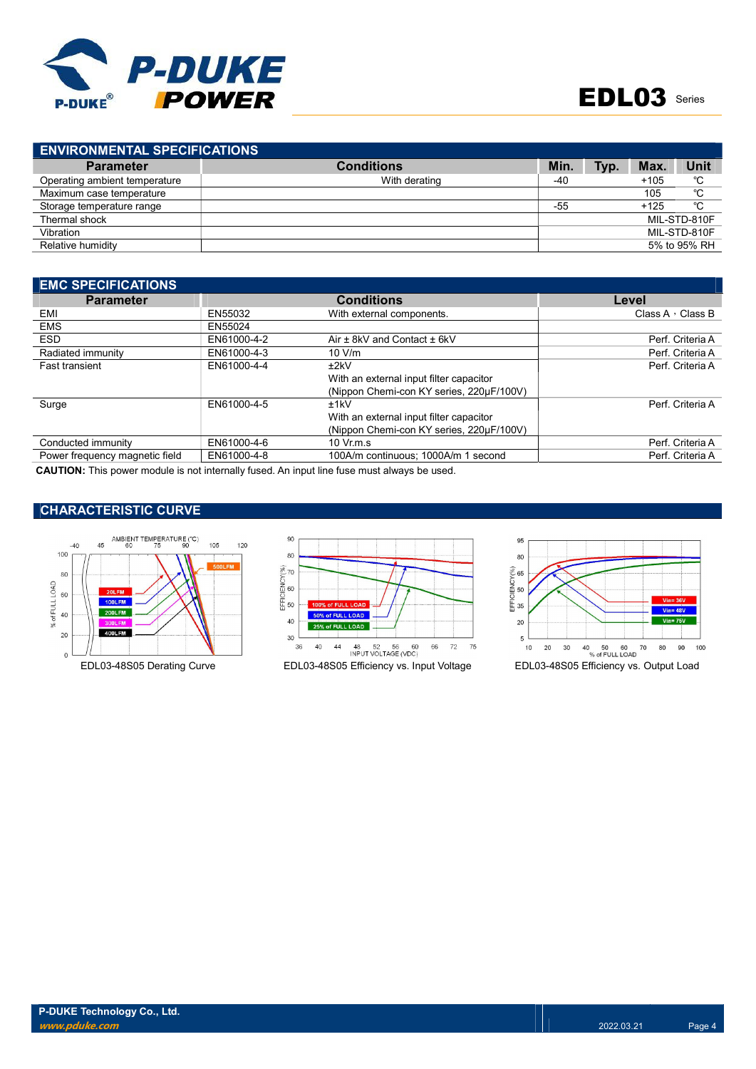

| <b>Conditions</b> | <b>Min</b>                          | Typ. | Max.   | Unit         |
|-------------------|-------------------------------------|------|--------|--------------|
| With derating     | -40                                 |      | $+105$ | °C           |
|                   |                                     |      | 105    | °C           |
|                   | $-55$                               |      | $+125$ | °C           |
|                   |                                     |      |        | MIL-STD-810F |
|                   |                                     |      |        | MIL-STD-810F |
|                   |                                     |      |        | 5% to 95% RH |
|                   | <b>ENVIRONMENTAL SPECIFICATIONS</b> |      |        |              |

| <b>EMC SPECIFICATIONS</b>                                                                                 |             |                                          |                         |
|-----------------------------------------------------------------------------------------------------------|-------------|------------------------------------------|-------------------------|
| <b>Parameter</b>                                                                                          |             | <b>Conditions</b>                        | Level                   |
| EMI                                                                                                       | EN55032     | With external components.                | Class A $\cdot$ Class B |
| <b>EMS</b>                                                                                                | EN55024     |                                          |                         |
| <b>ESD</b>                                                                                                | EN61000-4-2 | Air ± 8kV and Contact ± 6kV              | Perf. Criteria A        |
| Radiated immunity                                                                                         | EN61000-4-3 | 10 V/m                                   | Perf. Criteria A        |
| <b>Fast transient</b>                                                                                     | EN61000-4-4 | ±2kV                                     | Perf. Criteria A        |
|                                                                                                           |             | With an external input filter capacitor  |                         |
|                                                                                                           |             | (Nippon Chemi-con KY series, 220uF/100V) |                         |
| Surge                                                                                                     | EN61000-4-5 | ±1kV                                     | Perf. Criteria A        |
|                                                                                                           |             | With an external input filter capacitor  |                         |
|                                                                                                           |             | (Nippon Chemi-con KY series, 220µF/100V) |                         |
| Conducted immunity                                                                                        | EN61000-4-6 | $10 \,$ Vr.m.s                           | Perf. Criteria A        |
| Power frequency magnetic field                                                                            | EN61000-4-8 | 100A/m continuous: 1000A/m 1 second      | Perf. Criteria A        |
| AALITIAN: This company shake is a still and linear all American fluid from a company streets for the seal |             |                                          |                         |

CAUTION: This power module is not internally fused. An input line fuse must always be used.

# CHARACTERISTIC CURVE







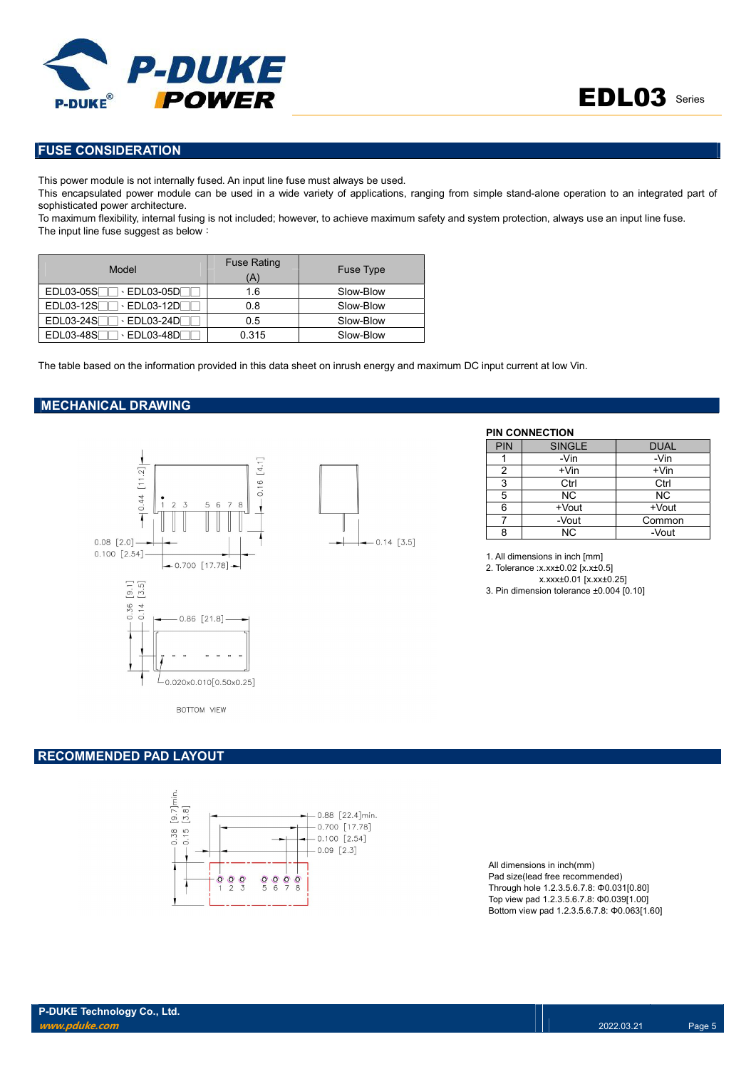

# FUSE CONSIDERATION

This power module is not internally fused. An input line fuse must always be used.

This encapsulated power module can be used in a wide variety of applications, ranging from simple stand-alone operation to an integrated part of sophisticated power architecture.

 $-0.14$  [3.5]

To maximum flexibility, internal fusing is not included; however, to achieve maximum safety and system protection, always use an input line fuse. The input line fuse suggest as below:

| Model                                  | <b>Fuse Rating</b><br>'A' | Fuse Type |
|----------------------------------------|---------------------------|-----------|
| EDL03-05S<br>$\cdot$ EDL03-05DF        | 1.6                       | Slow-Blow |
| EDL03-12S<br>$\cdot$ EDL03-12DF        | 0.8                       | Slow-Blow |
| $EDL03-24S1$<br>$\cdot$ EDL03-24DF     | 0.5                       | Slow-Blow |
| <b>EDL03-48S</b><br>$\cdot$ EDL03-48D[ | 0.315                     | Slow-Blow |

The table based on the information provided in this data sheet on inrush energy and maximum DC input current at low Vin.

### MECHANICAL DRAWING



**BOTTOM VIEW** 

#### RECOMMENDED PAD LAYOUT



All dimensions in inch(mm) Pad size(lead free recommended) Through hole 1.2.3.5.6.7.8: Φ0.031[0.80] Top view pad 1.2.3.5.6.7.8: Φ0.039[1.00] Bottom view pad 1.2.3.5.6.7.8: Φ0.063[1.60]

|                                                                 |            | <b>PIN CONNECTION</b> |             |
|-----------------------------------------------------------------|------------|-----------------------|-------------|
|                                                                 | <b>PIN</b> | <b>SINGLE</b>         | <b>DUAL</b> |
|                                                                 |            | -Vin                  | -Vin        |
| $\overline{\mathcal{E}}$<br>르                                   |            | $+V$ in               | $+V$ in     |
| $\overline{\phantom{a}}$<br>$\circ$<br>$\overline{\phantom{0}}$ |            | Ctrl                  | Ctrl        |
|                                                                 |            | ΝC                    | NC.         |
| 5 6 7<br>8<br>$\circ$<br>ᄖ                                      |            | +Vout                 | +Vout       |
|                                                                 |            | -Vout                 | Common      |
| $0.44$ $57 - 7$<br>con Log                                      |            | ΝC                    | -Vout       |

1. All dimensions in inch [mm]

2. Tolerance :x.xx±0.02 [x.x±0.5]

x.xxx±0.01 [x.xx±0.25] 3. Pin dimension tolerance ±0.004 [0.10]